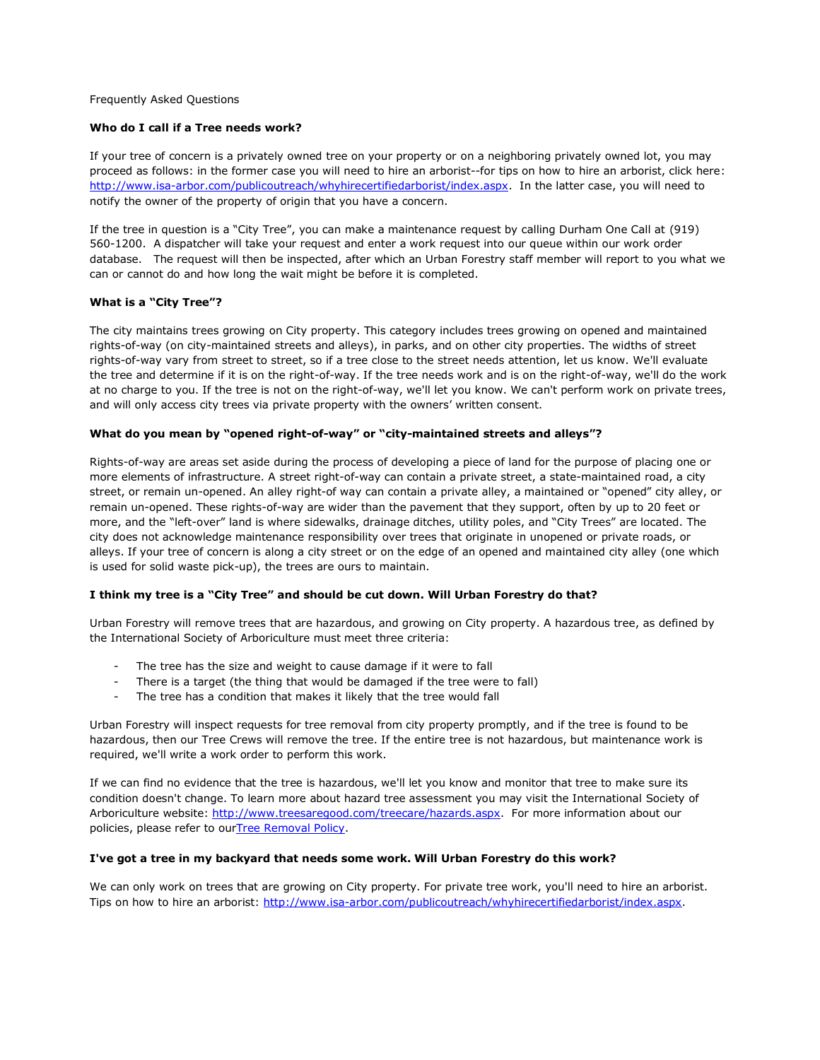Frequently Asked Questions

# **Who do I call if a Tree needs work?**

If your tree of concern is a privately owned tree on your property or on a neighboring privately owned lot, you may proceed as follows: in the former case you will need to hire an arborist--for tips on how to hire an arborist, click here: [http://www.isa-arbor.com/publicoutreach/whyhirecertifiedarborist/index.aspx.](http://www.isa-arbor.com/publicoutreach/whyhirecertifiedarborist/index.aspx) In the latter case, you will need to notify the owner of the property of origin that you have a concern.

If the tree in question is a "City Tree", you can make a maintenance request by calling Durham One Call at (919) 560-1200. A dispatcher will take your request and enter a work request into our queue within our work order database. The request will then be inspected, after which an Urban Forestry staff member will report to you what we can or cannot do and how long the wait might be before it is completed.

# **What is a "City Tree"?**

The city maintains trees growing on City property. This category includes trees growing on opened and maintained rights-of-way (on city-maintained streets and alleys), in parks, and on other city properties. The widths of street rights-of-way vary from street to street, so if a tree close to the street needs attention, let us know. We'll evaluate the tree and determine if it is on the right-of-way. If the tree needs work and is on the right-of-way, we'll do the work at no charge to you. If the tree is not on the right-of-way, we'll let you know. We can't perform work on private trees, and will only access city trees via private property with the owners' written consent.

# **What do you mean by "opened right-of-way" or "city-maintained streets and alleys"?**

Rights-of-way are areas set aside during the process of developing a piece of land for the purpose of placing one or more elements of infrastructure. A street right-of-way can contain a private street, a state-maintained road, a city street, or remain un-opened. An alley right-of way can contain a private alley, a maintained or "opened" city alley, or remain un-opened. These rights-of-way are wider than the pavement that they support, often by up to 20 feet or more, and the "left-over" land is where sidewalks, drainage ditches, utility poles, and "City Trees" are located. The city does not acknowledge maintenance responsibility over trees that originate in unopened or private roads, or alleys. If your tree of concern is along a city street or on the edge of an opened and maintained city alley (one which is used for solid waste pick-up), the trees are ours to maintain.

## **I think my tree is a "City Tree" and should be cut down. Will Urban Forestry do that?**

Urban Forestry will remove trees that are hazardous, and growing on City property. A hazardous tree, as defined by the International Society of Arboriculture must meet three criteria:

- The tree has the size and weight to cause damage if it were to fall
- There is a target (the thing that would be damaged if the tree were to fall)
- The tree has a condition that makes it likely that the tree would fall

Urban Forestry will inspect requests for tree removal from city property promptly, and if the tree is found to be hazardous, then our Tree Crews will remove the tree. If the entire tree is not hazardous, but maintenance work is required, we'll write a work order to perform this work.

If we can find no evidence that the tree is hazardous, we'll let you know and monitor that tree to make sure its condition doesn't change. To learn more about hazard tree assessment you may visit the International Society of Arboriculture website: [http://www.treesaregood.com/treecare/hazards.aspx.](http://www.treesaregood.com/treecare/hazards.aspx) For more information about our policies, please refer to ourTree [Removal](http://nc-durham.civicplus.com/DocumentCenter/View/14285) Policy.

## **I've got a tree in my backyard that needs some work. Will Urban Forestry do this work?**

We can only work on trees that are growing on City property. For private tree work, you'll need to hire an arborist. Tips on how to hire an arborist: [http://www.isa-arbor.com/publicoutreach/whyhirecertifiedarborist/index.aspx.](http://www.isa-arbor.com/publicoutreach/whyhirecertifiedarborist/index.aspx)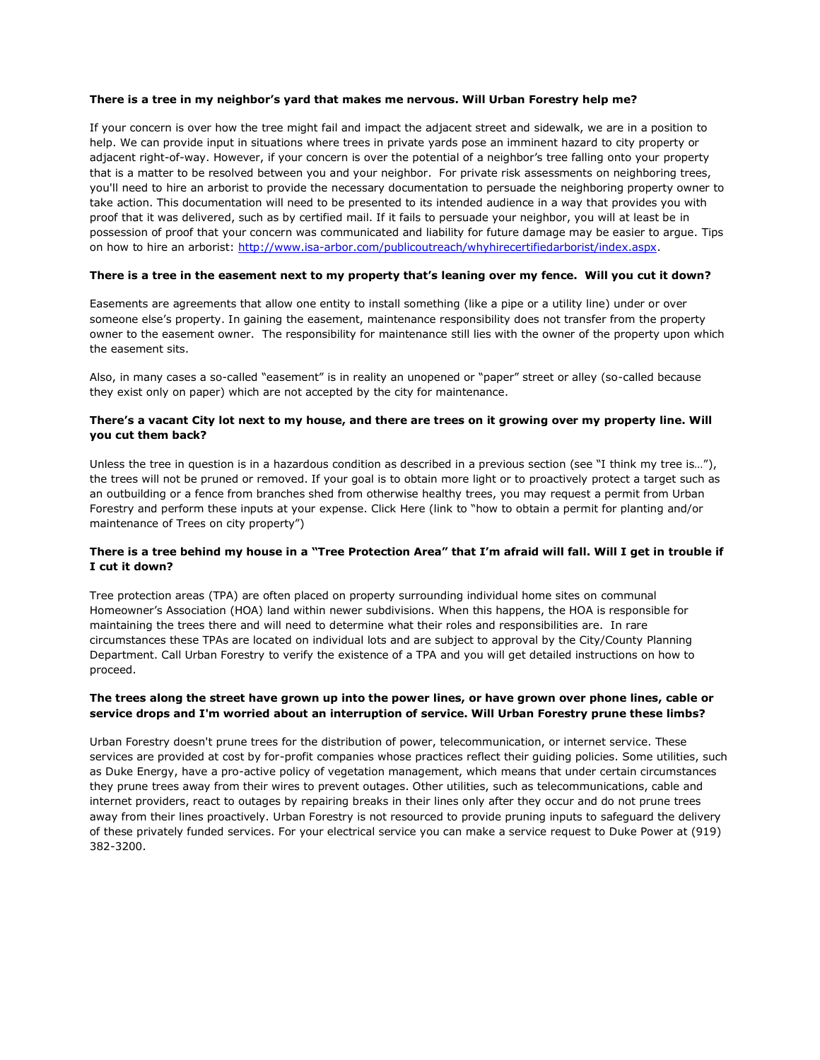## **There is a tree in my neighbor's yard that makes me nervous. Will Urban Forestry help me?**

If your concern is over how the tree might fail and impact the adjacent street and sidewalk, we are in a position to help. We can provide input in situations where trees in private yards pose an imminent hazard to city property or adjacent right-of-way. However, if your concern is over the potential of a neighbor's tree falling onto your property that is a matter to be resolved between you and your neighbor. For private risk assessments on neighboring trees, you'll need to hire an arborist to provide the necessary documentation to persuade the neighboring property owner to take action. This documentation will need to be presented to its intended audience in a way that provides you with proof that it was delivered, such as by certified mail. If it fails to persuade your neighbor, you will at least be in possession of proof that your concern was communicated and liability for future damage may be easier to argue. Tips on how to hire an arborist: [http://www.isa-arbor.com/publicoutreach/whyhirecertifiedarborist/index.aspx.](http://www.isa-arbor.com/publicoutreach/whyhirecertifiedarborist/index.aspx)

# There is a tree in the easement next to my property that's leaning over my fence. Will you cut it down?

Easements are agreements that allow one entity to install something (like a pipe or a utility line) under or over someone else's property. In gaining the easement, maintenance responsibility does not transfer from the property owner to the easement owner. The responsibility for maintenance still lies with the owner of the property upon which the easement sits.

Also, in many cases a so-called "easement" is in reality an unopened or "paper" street or alley (so-called because they exist only on paper) which are not accepted by the city for maintenance.

# There's a vacant City lot next to my house, and there are trees on it growing over my property line. Will **you cut them back?**

Unless the tree in question is in a hazardous condition as described in a previous section (see "I think my tree is…"), the trees will not be pruned or removed. If your goal is to obtain more light or to proactively protect a target such as an outbuilding or a fence from branches shed from otherwise healthy trees, you may request a permit from Urban Forestry and perform these inputs at your expense. Click Here (link to "how to obtain a permit for planting and/or maintenance of Trees on city property")

# There is a tree behind my house in a "Tree Protection Area" that I'm afraid will fall. Will I get in trouble if **I cut it down?**

Tree protection areas (TPA) are often placed on property surrounding individual home sites on communal Homeowner's Association (HOA) land within newer subdivisions. When this happens, the HOA is responsible for maintaining the trees there and will need to determine what their roles and responsibilities are. In rare circumstances these TPAs are located on individual lots and are subject to approval by the City/County Planning Department. Call Urban Forestry to verify the existence of a TPA and you will get detailed instructions on how to proceed.

# **The trees along the street have grown up into the power lines, or have grown over phone lines, cable or service drops and I'm worried about an interruption of service. Will Urban Forestry prune these limbs?**

Urban Forestry doesn't prune trees for the distribution of power, telecommunication, or internet service. These services are provided at cost by for-profit companies whose practices reflect their guiding policies. Some utilities, such as Duke Energy, have a pro-active policy of vegetation management, which means that under certain circumstances they prune trees away from their wires to prevent outages. Other utilities, such as telecommunications, cable and internet providers, react to outages by repairing breaks in their lines only after they occur and do not prune trees away from their lines proactively. Urban Forestry is not resourced to provide pruning inputs to safeguard the delivery of these privately funded services. For your electrical service you can make a service request to Duke Power at (919) 382-3200.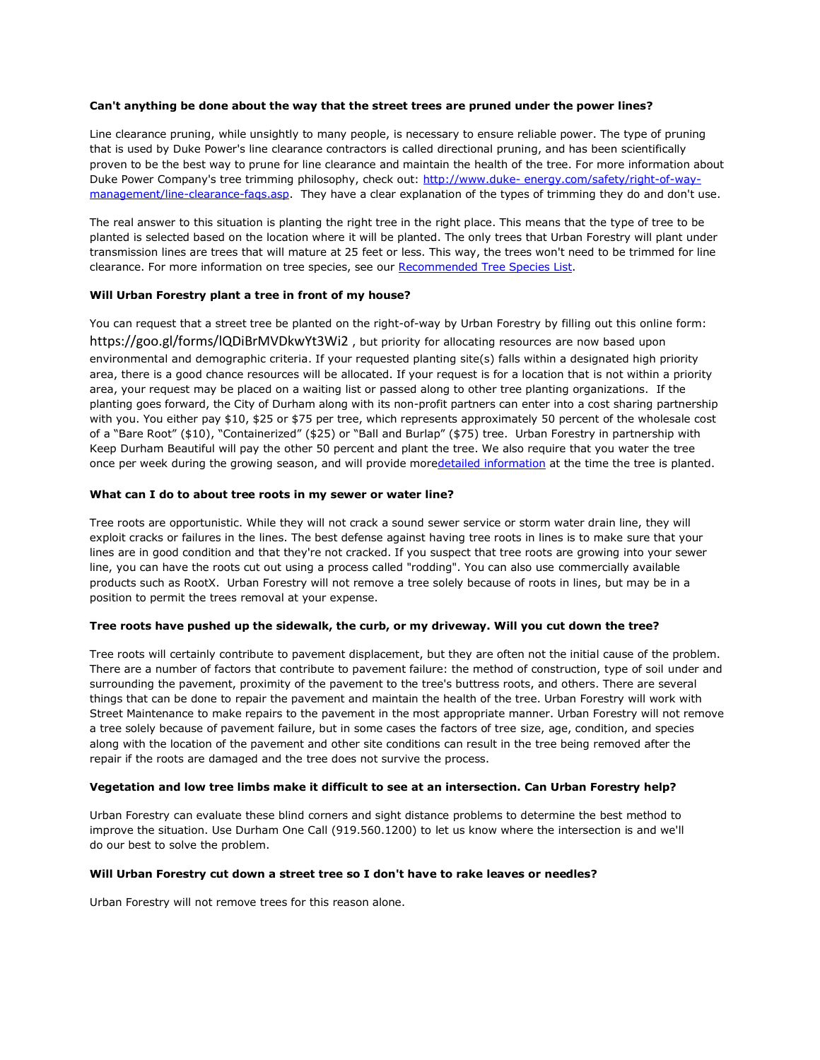## **Can't anything be done about the way that the street trees are pruned under the power lines?**

Line clearance pruning, while unsightly to many people, is necessary to ensure reliable power. The type of pruning that is used by Duke Power's line clearance contractors is called directional pruning, and has been scientifically proven to be the best way to prune for line clearance and maintain the health of the tree. For more information about Duke Power Company's tree trimming philosophy, check out: [http://www.duke-](http://www.duke-energy.com/safety/right-of-way-management/line-clearance-faqs.asp) [energy.com/safety/right-of-way](http://www.duke-energy.com/safety/right-of-way-management/line-clearance-faqs.asp)[management/line-clearance-faqs.asp.](http://www.duke-energy.com/safety/right-of-way-management/line-clearance-faqs.asp) They have a clear explanation of the types of trimming they do and don't use.

The real answer to this situation is planting the right tree in the right place. This means that the type of tree to be planted is selected based on the location where it will be planted. The only trees that Urban Forestry will plant under transmission lines are trees that will mature at 25 feet or less. This way, the trees won't need to be trimmed for line clearance. For more information on tree species, see our [Recommended](http://nc-durham.civicplus.com/DocumentCenter/View/2892) Tree Species List.

#### **Will Urban Forestry plant a tree in front of my house?**

You can request that a street tree be planted on the right-of-way by Urban Forestry by filling out this online form: <https://goo.gl/forms/lQDiBrMVDkwYt3Wi2> , but priority for allocating resources are now based upon environmental and demographic criteria. If your requested planting site(s) falls within a designated high priority area, there is a good chance resources will be allocated. If your request is for a location that is not within a priority area, your request may be placed on a waiting list or passed along to other tree planting organizations. If the planting goes forward, the City of Durham along with its non-profit partners can enter into a cost sharing partnership with you. You either pay \$10, \$25 or \$75 per tree, which represents approximately 50 percent of the wholesale cost of a "Bare Root" (\$10), "Containerized" (\$25) or "Ball and Burlap" (\$75) tree. Urban Forestry in partnership with Keep Durham Beautiful will pay the other 50 percent and plant the tree. We also require that you water the tree once per week during the growing season, and will provide moredetailed [information](http://nc-durham.civicplus.com/DocumentCenter/View/2892) at the time the tree is planted.

#### **What can I do to about tree roots in my sewer or water line?**

Tree roots are opportunistic. While they will not crack a sound sewer service or storm water drain line, they will exploit cracks or failures in the lines. The best defense against having tree roots in lines is to make sure that your lines are in good condition and that they're not cracked. If you suspect that tree roots are growing into your sewer line, you can have the roots cut out using a process called "rodding". You can also use commercially available products such as RootX. Urban Forestry will not remove a tree solely because of roots in lines, but may be in a position to permit the trees removal at your expense.

## **Tree roots have pushed up the sidewalk, the curb, or my driveway. Will you cut down the tree?**

Tree roots will certainly contribute to pavement displacement, but they are often not the initial cause of the problem. There are a number of factors that contribute to pavement failure: the method of construction, type of soil under and surrounding the pavement, proximity of the pavement to the tree's buttress roots, and others. There are several things that can be done to repair the pavement and maintain the health of the tree. Urban Forestry will work with Street Maintenance to make repairs to the pavement in the most appropriate manner. Urban Forestry will not remove a tree solely because of pavement failure, but in some cases the factors of tree size, age, condition, and species along with the location of the pavement and other site conditions can result in the tree being removed after the repair if the roots are damaged and the tree does not survive the process.

#### **Vegetation and low tree limbs make it difficult to see at an intersection. Can Urban Forestry help?**

Urban Forestry can evaluate these blind corners and sight distance problems to determine the best method to improve the situation. Use Durham One Call (919.560.1200) to let us know where the intersection is and we'll do our best to solve the problem.

#### **Will Urban Forestry cut down a street tree so I don't have to rake leaves or needles?**

Urban Forestry will not remove trees for this reason alone.